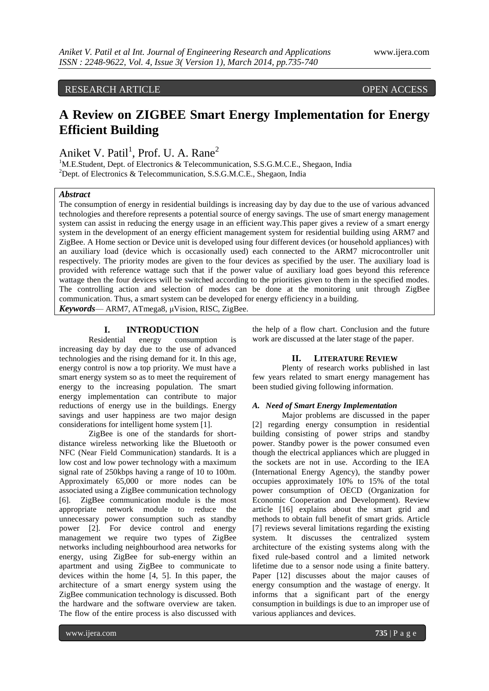RESEARCH ARTICLE OPEN ACCESS

# **A Review on ZIGBEE Smart Energy Implementation for Energy Efficient Building**

Aniket V. Patil<sup>1</sup>, Prof. U. A. Rane<sup>2</sup>

<sup>1</sup>M.E.Student, Dept. of Electronics & Telecommunication, S.S.G.M.C.E., Shegaon, India <sup>2</sup>Dept. of Electronics & Telecommunication, S.S.G.M.C.E., Shegaon, India

# *Abstract*

The consumption of energy in residential buildings is increasing day by day due to the use of various advanced technologies and therefore represents a potential source of energy savings. The use of smart energy management system can assist in reducing the energy usage in an efficient way.This paper gives a review of a smart energy system in the development of an energy efficient management system for residential building using ARM7 and ZigBee. A Home section or Device unit is developed using four different devices (or household appliances) with an auxiliary load (device which is occasionally used) each connected to the ARM7 microcontroller unit respectively. The priority modes are given to the four devices as specified by the user. The auxiliary load is provided with reference wattage such that if the power value of auxiliary load goes beyond this reference wattage then the four devices will be switched according to the priorities given to them in the specified modes. The controlling action and selection of modes can be done at the monitoring unit through ZigBee communication. Thus, a smart system can be developed for energy efficiency in a building.

*Keywords*— ARM7, ATmega8, μVision, RISC, ZigBee.

# **I. INTRODUCTION**<br>Residential energy consum

energy consumption is increasing day by day due to the use of advanced technologies and the rising demand for it. In this age, energy control is now a top priority. We must have a smart energy system so as to meet the requirement of energy to the increasing population. The smart energy implementation can contribute to major reductions of energy use in the buildings. Energy savings and user happiness are two major design considerations for intelligent home system [1].

ZigBee is one of the standards for shortdistance wireless networking like the Bluetooth or NFC (Near Field Communication) standards. It is a low cost and low power technology with a maximum signal rate of 250kbps having a range of 10 to 100m. Approximately 65,000 or more nodes can be associated using a ZigBee communication technology [6]. ZigBee communication module is the most appropriate network module to reduce the unnecessary power consumption such as standby power [2]. For device control and energy management we require two types of ZigBee networks including neighbourhood area networks for energy, using ZigBee for sub-energy within an apartment and using ZigBee to communicate to devices within the home [4, 5]. In this paper, the architecture of a smart energy system using the ZigBee communication technology is discussed. Both the hardware and the software overview are taken. The flow of the entire process is also discussed with

the help of a flow chart. Conclusion and the future work are discussed at the later stage of the paper.

#### **II. LITERATURE REVIEW**

Plenty of research works published in last few years related to smart energy management has been studied giving following information.

## *A. Need of Smart Energy Implementation*

Major problems are discussed in the paper [2] regarding energy consumption in residential building consisting of power strips and standby power. Standby power is the power consumed even though the electrical appliances which are plugged in the sockets are not in use. According to the IEA (International Energy Agency), the standby power occupies approximately 10% to 15% of the total power consumption of OECD (Organization for Economic Cooperation and Development). Review article [16] explains about the smart grid and methods to obtain full benefit of smart grids. Article [7] reviews several limitations regarding the existing system. It discusses the centralized system architecture of the existing systems along with the fixed rule-based control and a limited network lifetime due to a sensor node using a finite battery. Paper [12] discusses about the major causes of energy consumption and the wastage of energy. It informs that a significant part of the energy consumption in buildings is due to an improper use of various appliances and devices.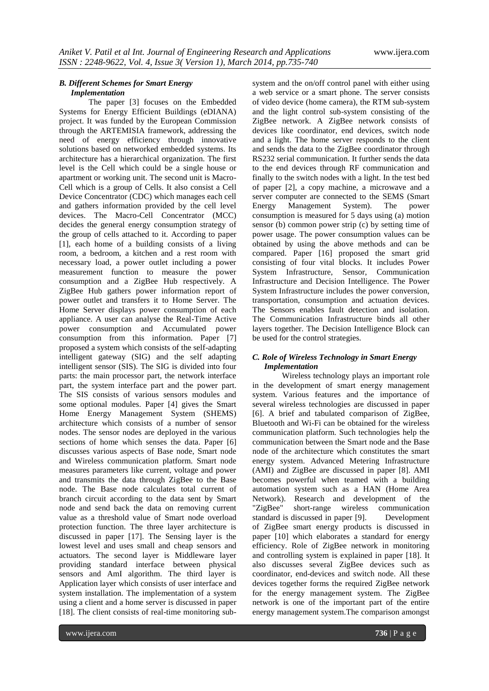### *B. Different Schemes for Smart Energy Implementation*

The paper [3] focuses on the Embedded Systems for Energy Efficient Buildings (eDIANA) project. It was funded by the European Commission through the ARTEMISIA framework, addressing the need of energy efficiency through innovative solutions based on networked embedded systems. Its architecture has a hierarchical organization. The first level is the Cell which could be a single house or apartment or working unit. The second unit is Macro-Cell which is a group of Cells. It also consist a Cell Device Concentrator (CDC) which manages each cell and gathers information provided by the cell level devices. The Macro-Cell Concentrator (MCC) decides the general energy consumption strategy of the group of cells attached to it. According to paper [1], each home of a building consists of a living room, a bedroom, a kitchen and a rest room with necessary load, a power outlet including a power measurement function to measure the power consumption and a ZigBee Hub respectively. A ZigBee Hub gathers power information report of power outlet and transfers it to Home Server. The Home Server displays power consumption of each appliance. A user can analyse the Real-Time Active power consumption and Accumulated power consumption from this information. Paper [7] proposed a system which consists of the self-adapting intelligent gateway (SIG) and the self adapting intelligent sensor (SIS). The SIG is divided into four parts: the main processor part, the network interface part, the system interface part and the power part. The SIS consists of various sensors modules and some optional modules. Paper [4] gives the Smart Home Energy Management System (SHEMS) architecture which consists of a number of sensor nodes. The sensor nodes are deployed in the various sections of home which senses the data. Paper [6] discusses various aspects of Base node, Smart node and Wireless communication platform. Smart node measures parameters like current, voltage and power and transmits the data through ZigBee to the Base node. The Base node calculates total current of branch circuit according to the data sent by Smart node and send back the data on removing current value as a threshold value of Smart node overload protection function. The three layer architecture is discussed in paper [17]. The Sensing layer is the lowest level and uses small and cheap sensors and actuators. The second layer is Middleware layer providing standard interface between physical sensors and AmI algorithm. The third layer is Application layer which consists of user interface and system installation. The implementation of a system using a client and a home server is discussed in paper [18]. The client consists of real-time monitoring subsystem and the on/off control panel with either using a web service or a smart phone. The server consists of video device (home camera), the RTM sub-system and the light control sub-system consisting of the ZigBee network. A ZigBee network consists of devices like coordinator, end devices, switch node and a light. The home server responds to the client and sends the data to the ZigBee coordinator through RS232 serial communication. It further sends the data to the end devices through RF communication and finally to the switch nodes with a light. In the test bed of paper [2], a copy machine, a microwave and a server computer are connected to the SEMS (Smart Energy Management System). The power consumption is measured for 5 days using (a) motion sensor (b) common power strip (c) by setting time of power usage. The power consumption values can be obtained by using the above methods and can be compared. Paper [16] proposed the smart grid consisting of four vital blocks. It includes Power System Infrastructure, Sensor, Communication Infrastructure and Decision Intelligence. The Power System Infrastructure includes the power conversion, transportation, consumption and actuation devices. The Sensors enables fault detection and isolation. The Communication Infrastructure binds all other layers together. The Decision Intelligence Block can be used for the control strategies.

# *C. Role of Wireless Technology in Smart Energy Implementation*

Wireless technology plays an important role in the development of smart energy management system. Various features and the importance of several wireless technologies are discussed in paper [6]. A brief and tabulated comparison of ZigBee, Bluetooth and Wi-Fi can be obtained for the wireless communication platform. Such technologies help the communication between the Smart node and the Base node of the architecture which constitutes the smart energy system. Advanced Metering Infrastructure (AMI) and ZigBee are discussed in paper [8]. AMI becomes powerful when teamed with a building automation system such as a HAN (Home Area Network). Research and development of the "ZigBee" short-range wireless communication standard is discussed in paper [9]. Development of ZigBee smart energy products is discussed in paper [10] which elaborates a standard for energy efficiency. Role of ZigBee network in monitoring and controlling system is explained in paper [18]. It also discusses several ZigBee devices such as coordinator, end-devices and switch node. All these devices together forms the required ZigBee network for the energy management system. The ZigBee network is one of the important part of the entire energy management system.The comparison amongst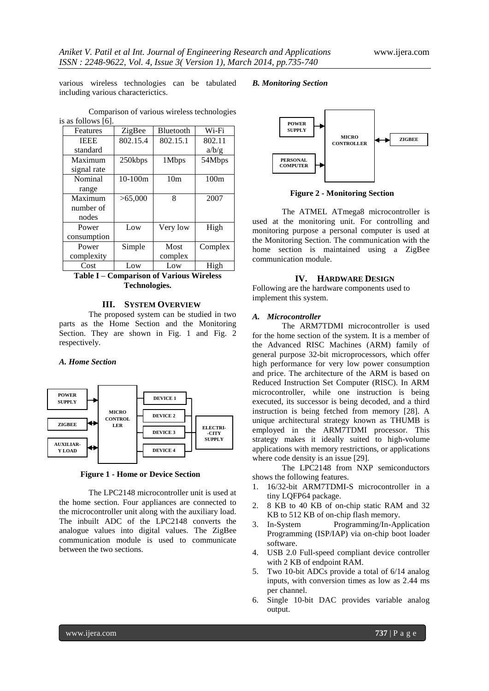various wireless technologies can be tabulated including various characterictics.

Comparison of various wireless technologies

#### *B. Monitoring Section*

| is as follows [6]. |             |           |                 |         |
|--------------------|-------------|-----------|-----------------|---------|
|                    | Features    | ZigBee    | Bluetooth       | Wi-Fi   |
|                    | <b>IEEE</b> | 802.15.4  | 802.15.1        | 802.11  |
|                    | standard    |           |                 | a/b/g   |
|                    | Maximum     | 250kbps   | 1Mbps           | 54Mbps  |
|                    | signal rate |           |                 |         |
|                    | Nominal     | $10-100m$ | 10 <sub>m</sub> | 100m    |
|                    | range       |           |                 |         |
|                    | Maximum     | >65,000   | 8               | 2007    |
|                    | number of   |           |                 |         |
|                    | nodes       |           |                 |         |
|                    | Power       | Low       | Very low        | High    |
|                    | consumption |           |                 |         |
|                    | Power       | Simple    | Most            | Complex |
|                    | complexity  |           | complex         |         |
|                    | Cost        | Low       | Low             | High    |

**Table I – Comparison of Various Wireless Technologies.**

#### **III. SYSTEM OVERVIEW**

The proposed system can be studied in two parts as the Home Section and the Monitoring Section. They are shown in Fig. 1 and Fig. 2 respectively.

#### *A. Home Section*



**Figure 1 - Home or Device Section**

The LPC2148 microcontroller unit is used at the home section. Four appliances are connected to the microcontroller unit along with the auxiliary load. The inbuilt ADC of the LPC2148 converts the analogue values into digital values. The ZigBee communication module is used to communicate between the two sections.



**Figure 2 - Monitoring Section**

The ATMEL ATmega8 microcontroller is used at the monitoring unit. For controlling and monitoring purpose a personal computer is used at the Monitoring Section. The communication with the home section is maintained using a ZigBee communication module.

#### **IV. HARDWARE DESIGN**

Following are the hardware components used to implement this system.

#### *A. Microcontroller*

The ARM7TDMI microcontroller is used for the home section of the system. It is a member of the Advanced RISC Machines (ARM) family of general purpose 32-bit microprocessors, which offer high performance for very low power consumption and price. The architecture of the ARM is based on Reduced Instruction Set Computer (RISC). In ARM microcontroller, while one instruction is being executed, its successor is being decoded, and a third instruction is being fetched from memory [28]. A unique architectural strategy known as THUMB is employed in the ARM7TDMI processor. This strategy makes it ideally suited to high-volume applications with memory restrictions, or applications where code density is an issue [29].

The LPC2148 from NXP semiconductors shows the following features.

- 1. 16/32-bit ARM7TDMI-S microcontroller in a tiny LQFP64 package.
- 2. 8 KB to 40 KB of on-chip static RAM and 32 KB to 512 KB of on-chip flash memory.
- 3. In-System Programming/In-Application Programming (ISP/IAP) via on-chip boot loader software.
- 4. USB 2.0 Full-speed compliant device controller with 2 KB of endpoint RAM.
- 5. Two 10-bit ADCs provide a total of 6/14 analog inputs, with conversion times as low as 2.44 ms per channel.
- 6. Single 10-bit DAC provides variable analog output.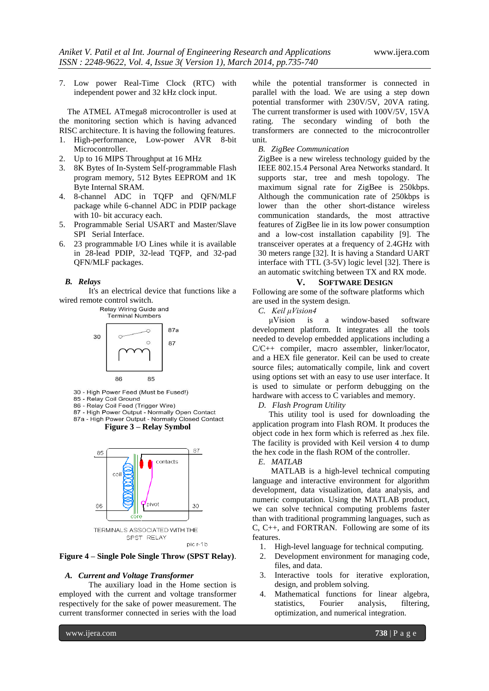7. Low power Real-Time Clock (RTC) with independent power and 32 kHz clock input.

 The ATMEL ATmega8 microcontroller is used at the monitoring section which is having advanced RISC architecture. It is having the following features.

- 1. High-performance, Low-power AVR 8-bit Microcontroller.
- 2. Up to 16 MIPS Throughput at 16 MHz
- 3. 8K Bytes of In-System Self-programmable Flash program memory, 512 Bytes EEPROM and 1K Byte Internal SRAM.
- 4. 8-channel ADC in TQFP and QFN/MLF package while 6-channel ADC in PDIP package with 10- bit accuracy each.
- 5. Programmable Serial USART and Master/Slave SPI Serial Interface.
- 6. 23 programmable I/O Lines while it is available in 28-lead PDIP, 32-lead TQFP, and 32-pad QFN/MLF packages.

#### *B. Relays*

It's an electrical device that functions like a wired remote control switch.<br>Relay Wiring Guide and



30 - High Power Feed (Must be Fused!)

85 - Relay Coil Ground

86 - Relay Coil Feed (Trigger Wire) 87 - High Power Output - Normally Open Contact

87a - High Power Output - Normally Closed Contact





**Figure 4 – Single Pole Single Throw (SPST Relay)**.

#### *A. Current and Voltage Transformer*

The auxiliary load in the Home section is employed with the current and voltage transformer respectively for the sake of power measurement. The current transformer connected in series with the load

while the potential transformer is connected in parallel with the load. We are using a step down potential transformer with 230V/5V, 20VA rating. The current transformer is used with 100V/5V, 15VA rating. The secondary winding of both the transformers are connected to the microcontroller unit.

#### *B. ZigBee Communication*

ZigBee is a new wireless technology guided by the IEEE 802.15.4 Personal Area Networks standard. It supports star, tree and mesh topology. The maximum signal rate for ZigBee is 250kbps. Although the communication rate of 250kbps is lower than the other short-distance wireless communication standards, the most attractive features of ZigBee lie in its low power consumption and a low-cost installation capability [9]. The transceiver operates at a frequency of 2.4GHz with 30 meters range [32]. It is having a Standard UART interface with TTL (3-5V) logic level [32]. There is an automatic switching between TX and RX mode.

# **V. SOFTWARE DESIGN**

Following are some of the software platforms which are used in the system design.

*C. Keil μVision4*

μVision is a window-based software development platform. It integrates all the tools needed to develop embedded applications including a C/C++ compiler, macro assembler, linker/locator, and a HEX file generator. Keil can be used to create source files; automatically compile, link and covert using options set with an easy to use user interface. It is used to simulate or perform debugging on the hardware with access to C variables and memory.

*D. Flash Program Utility*

 This utility tool is used for downloading the application program into Flash ROM. It produces the object code in hex form which is referred as .hex file. The facility is provided with Keil version 4 to dump the hex code in the flash ROM of the controller.

# *E. MATLAB*

 MATLAB is a high-level technical computing language and interactive environment for algorithm development, data visualization, data analysis, and numeric computation. Using the MATLAB product, we can solve technical computing problems faster than with traditional programming languages, such as C, C++, and FORTRAN. Following are some of its features.

- 1. High-level language for technical computing.
- 2. Development environment for managing code, files, and data.
- 3. Interactive tools for iterative exploration, design, and problem solving.
- 4. Mathematical functions for linear algebra, statistics, Fourier analysis, filtering, optimization, and numerical integration.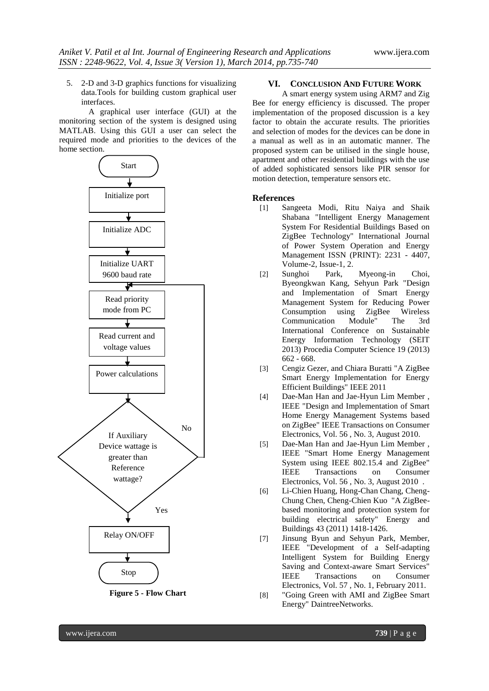5. 2-D and 3-D graphics functions for visualizing data.Tools for building custom graphical user interfaces.

A graphical user interface (GUI) at the monitoring section of the system is designed using MATLAB. Using this GUI a user can select the required mode and priorities to the devices of the home section.



#### **Figure 5 - Flow Chart**

## **VI. CONCLUSION AND FUTURE WORK**

A smart energy system using ARM7 and Zig Bee for energy efficiency is discussed. The proper implementation of the proposed discussion is a key factor to obtain the accurate results. The priorities and selection of modes for the devices can be done in a manual as well as in an automatic manner. The proposed system can be utilised in the single house, apartment and other residential buildings with the use of added sophisticated sensors like PIR sensor for motion detection, temperature sensors etc.

#### **References**

- [1] Sangeeta Modi, Ritu Naiya and Shaik Shabana "Intelligent Energy Management System For Residential Buildings Based on ZigBee Technology" International Journal of Power System Operation and Energy Management ISSN (PRINT): 2231 - 4407, Volume-2, Issue-1, 2.
- [2] Sunghoi Park, Myeong-in Choi, Byeongkwan Kang, Sehyun Park "Design and Implementation of Smart Energy Management System for Reducing Power Consumption using ZigBee Wireless Communication Module" The 3rd International Conference on Sustainable Energy Information Technology (SEIT 2013) Procedia Computer Science 19 (2013) 662 - 668.
- [3] Cengiz Gezer, and Chiara Buratti "A ZigBee Smart Energy Implementation for Energy Efficient Buildings" IEEE 2011
- [4] Dae-Man Han and Jae-Hyun Lim Member , IEEE "Design and Implementation of Smart Home Energy Management Systems based on ZigBee" IEEE Transactions on Consumer Electronics, Vol. 56 , No. 3, August 2010.
- [5] Dae-Man Han and Jae-Hyun Lim Member , IEEE "Smart Home Energy Management System using IEEE 802.15.4 and ZigBee" IEEE Transactions on Consumer Electronics, Vol. 56 , No. 3, August 2010 .
- [6] Li-Chien Huang, Hong-Chan Chang, Cheng-Chung Chen, Cheng-Chien Kuo "A ZigBeebased monitoring and protection system for building electrical safety" Energy and Buildings 43 (2011) 1418-1426.
- [7] Jinsung Byun and Sehyun Park, Member, IEEE "Development of a Self-adapting Intelligent System for Building Energy Saving and Context-aware Smart Services" IEEE Transactions on Consumer Electronics, Vol. 57 , No. 1, February 2011.
- [8] "Going Green with AMI and ZigBee Smart Energy" DaintreeNetworks.